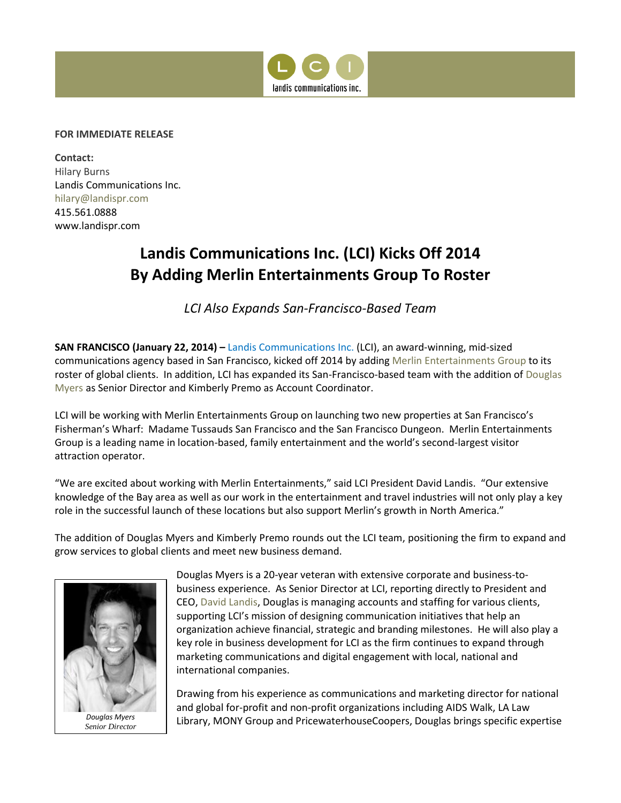

## **FOR IMMEDIATE RELEASE**

**Contact:**  Hilary Burns Landis Communications Inc. [hilary@landispr.com](mailto:hilary@landispr.com) 415.561.0888 www.landispr.com

## **Landis Communications Inc. (LCI) Kicks Off 2014 By Adding Merlin Entertainments Group To Roster**

*LCI Also Expands San-Francisco-Based Team*

**SAN FRANCISCO (January 22, 2014) –** [Landis Communications Inc.](http://www.landispr.com/) (LCI), an award-winning, mid-sized communications agency based in San Francisco, kicked off 2014 by addin[g Merlin Entertainments Group](http://www.merlinentertainments.biz/) to its roster of global clients. In addition, LCI has expanded its San-Francisco-based team with the addition o[f Douglas](http://www.landispr.com/about/bios/douglas.htm)  [Myers](http://www.landispr.com/about/bios/douglas.htm) as Senior Director and Kimberly Premo as Account Coordinator.

LCI will be working with Merlin Entertainments Group on launching two new properties at San Francisco's Fisherman's Wharf: Madame Tussauds San Francisco and the San Francisco Dungeon. Merlin Entertainments Group is a leading name in location-based, family entertainment and the world's second-largest visitor attraction operator.

"We are excited about working with Merlin Entertainments," said LCI President David Landis. "Our extensive knowledge of the Bay area as well as our work in the entertainment and travel industries will not only play a key role in the successful launch of these locations but also support Merlin's growth in North America."

The addition of Douglas Myers and Kimberly Premo rounds out the LCI team, positioning the firm to expand and grow services to global clients and meet new business demand.



Douglas Myers is a 20-year veteran with extensive corporate and business-tobusiness experience. As Senior Director at LCI, reporting directly to President and CEO, [David Landis,](http://www.landispr.com/about/bios/david.htm) Douglas is managing accounts and staffing for various clients, supporting LCI's mission of designing communication initiatives that help an organization achieve financial, strategic and branding milestones. He will also play a key role in business development for LCI as the firm continues to expand through marketing communications and digital engagement with local, national and international companies.

Drawing from his experience as communications and marketing director for national and global for-profit and non-profit organizations including AIDS Walk, LA Law Library, MONY Group and PricewaterhouseCoopers, Douglas brings specific expertise *Douglas Myers*